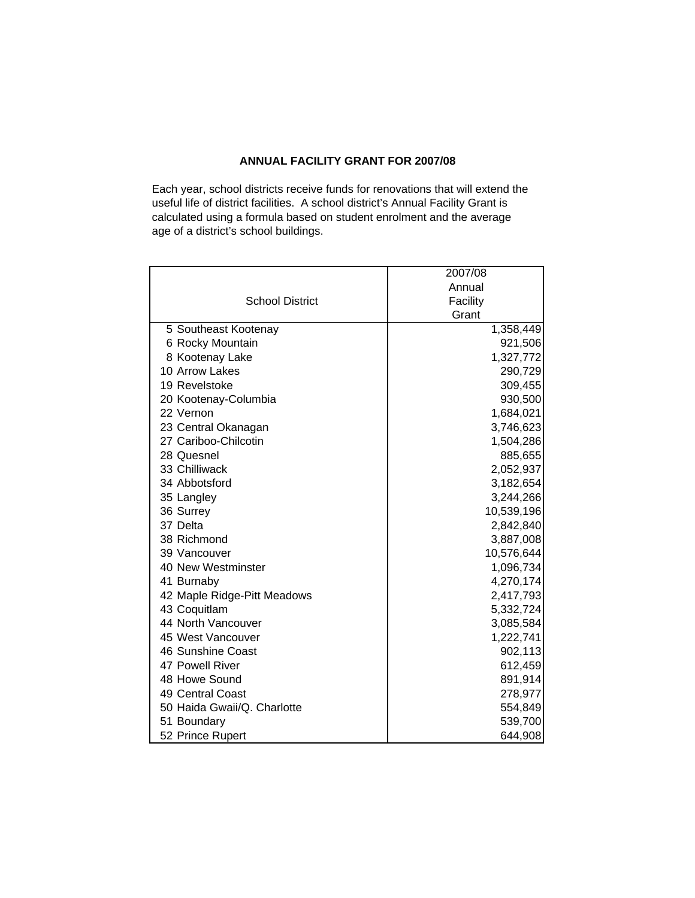## **ANNUAL FACILITY GRANT FOR 2007/08**

Each year, school districts receive funds for renovations that will extend the useful life of district facilities. A school district's Annual Facility Grant is calculated using a formula based on student enrolment and the average age of a district's school buildings.

|                             | 2007/08    |
|-----------------------------|------------|
|                             | Annual     |
| <b>School District</b>      | Facility   |
|                             | Grant      |
| 5 Southeast Kootenay        | 1,358,449  |
| 6 Rocky Mountain            | 921,506    |
| 8 Kootenay Lake             | 1,327,772  |
| 10 Arrow Lakes              | 290,729    |
| 19 Revelstoke               | 309,455    |
| 20 Kootenay-Columbia        | 930,500    |
| 22 Vernon                   | 1,684,021  |
| 23 Central Okanagan         | 3,746,623  |
| 27 Cariboo-Chilcotin        | 1,504,286  |
| 28 Quesnel                  | 885,655    |
| 33 Chilliwack               | 2,052,937  |
| 34 Abbotsford               | 3,182,654  |
| 35 Langley                  | 3,244,266  |
| 36 Surrey                   | 10,539,196 |
| 37 Delta                    | 2,842,840  |
| 38 Richmond                 | 3,887,008  |
| 39 Vancouver                | 10,576,644 |
| 40 New Westminster          | 1,096,734  |
| 41 Burnaby                  | 4,270,174  |
| 42 Maple Ridge-Pitt Meadows | 2,417,793  |
| 43 Coquitlam                | 5,332,724  |
| 44 North Vancouver          | 3,085,584  |
| 45 West Vancouver           | 1,222,741  |
| 46 Sunshine Coast           | 902,113    |
| 47 Powell River             | 612,459    |
| 48 Howe Sound               | 891,914    |
| 49 Central Coast            | 278,977    |
| 50 Haida Gwaii/Q. Charlotte | 554,849    |
| 51 Boundary                 | 539,700    |
| 52 Prince Rupert            | 644,908    |